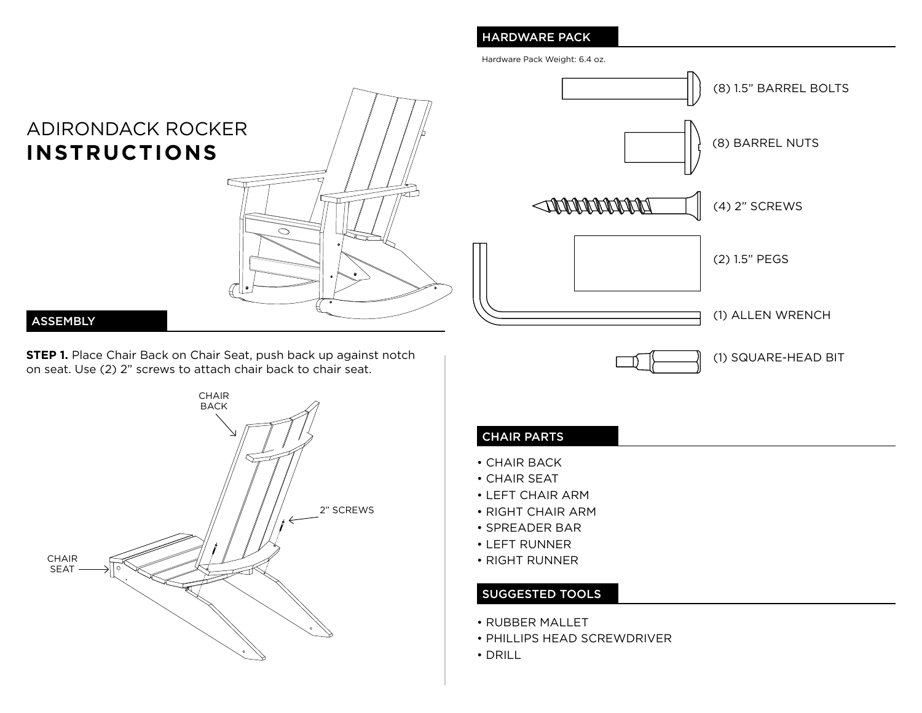# HARDWARE PACK

Hardware Pack Weight: 6.4 oz.



(8) BARREL NUTS **INNANNANN** (4) 2" SCREWS (2) 1.5" PEGS (1) ALLEN WRENCH

(8) 1.5" BARREL BOLTS

(1) SQUARE-HEAD BIT

### ASSEMBLY

**STEP 1.** Place Chair Back on Chair Seat, push back up against notch on seat. Use (2) 2" screws to attach chair back to chair seat.



# CHAIR PARTS

- CHAIR BACK
- CHAIR SEAT
- LEFT CHAIR ARM
- RIGHT CHAIR ARM
- SPREADER BAR
- LEFT RUNNER
- RIGHT RUNNER

## SUGGESTED TOOLS

- RUBBER MALLET
- PHILLIPS HEAD SCREWDRIVER
- DRILL